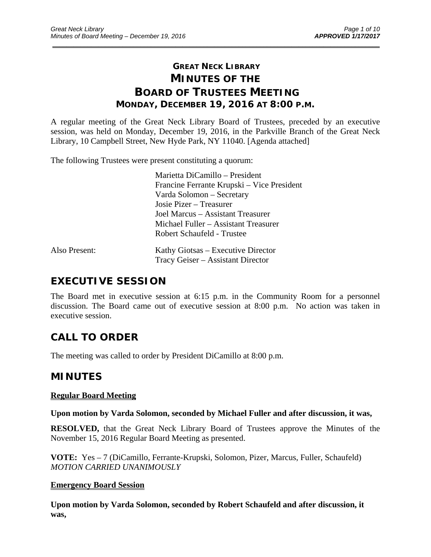# **GREAT NECK LIBRARY MINUTES OF THE BOARD OF TRUSTEES MEETING MONDAY, DECEMBER 19, 2016 AT 8:00 P.M.**

\_\_\_\_\_\_\_\_\_\_\_\_\_\_\_\_\_\_\_\_\_\_\_\_\_\_\_\_\_\_\_\_\_\_\_\_\_\_\_\_\_\_\_\_\_\_\_\_\_\_\_\_\_\_\_\_\_\_\_\_\_\_\_\_\_\_\_\_\_\_\_\_\_\_\_\_\_\_\_\_\_\_\_\_\_\_\_\_\_\_\_\_\_

A regular meeting of the Great Neck Library Board of Trustees, preceded by an executive session, was held on Monday, December 19, 2016, in the Parkville Branch of the Great Neck Library, 10 Campbell Street, New Hyde Park, NY 11040. [Agenda attached]

The following Trustees were present constituting a quorum:

 Marietta DiCamillo – President Francine Ferrante Krupski – Vice President Varda Solomon – Secretary Josie Pizer – Treasurer Joel Marcus – Assistant Treasurer Michael Fuller – Assistant Treasurer Robert Schaufeld - Trustee

| Also Present: | Kathy Giotsas – Executive Director |
|---------------|------------------------------------|
|               | Tracy Geiser – Assistant Director  |

# **EXECUTIVE SESSION**

The Board met in executive session at 6:15 p.m. in the Community Room for a personnel discussion. The Board came out of executive session at 8:00 p.m. No action was taken in executive session.

# **CALL TO ORDER**

The meeting was called to order by President DiCamillo at 8:00 p.m.

## **MINUTES**

### **Regular Board Meeting**

#### **Upon motion by Varda Solomon, seconded by Michael Fuller and after discussion, it was,**

**RESOLVED,** that the Great Neck Library Board of Trustees approve the Minutes of the November 15, 2016 Regular Board Meeting as presented.

**VOTE:** Yes – 7 (DiCamillo, Ferrante-Krupski, Solomon, Pizer, Marcus, Fuller, Schaufeld) *MOTION CARRIED UNANIMOUSLY* 

### **Emergency Board Session**

**Upon motion by Varda Solomon, seconded by Robert Schaufeld and after discussion, it was,**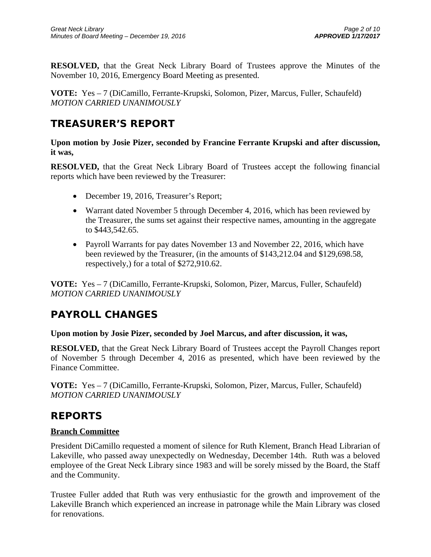**RESOLVED,** that the Great Neck Library Board of Trustees approve the Minutes of the November 10, 2016, Emergency Board Meeting as presented.

**VOTE:** Yes – 7 (DiCamillo, Ferrante-Krupski, Solomon, Pizer, Marcus, Fuller, Schaufeld) *MOTION CARRIED UNANIMOUSLY* 

# **TREASURER'S REPORT**

**Upon motion by Josie Pizer, seconded by Francine Ferrante Krupski and after discussion, it was,** 

**RESOLVED,** that the Great Neck Library Board of Trustees accept the following financial reports which have been reviewed by the Treasurer:

- December 19, 2016, Treasurer's Report;
- Warrant dated November 5 through December 4, 2016, which has been reviewed by the Treasurer, the sums set against their respective names, amounting in the aggregate to \$443,542.65.
- Payroll Warrants for pay dates November 13 and November 22, 2016, which have been reviewed by the Treasurer, (in the amounts of \$143,212.04 and \$129,698.58, respectively,) for a total of \$272,910.62.

**VOTE:** Yes – 7 (DiCamillo, Ferrante-Krupski, Solomon, Pizer, Marcus, Fuller, Schaufeld) *MOTION CARRIED UNANIMOUSLY* 

# **PAYROLL CHANGES**

### **Upon motion by Josie Pizer, seconded by Joel Marcus, and after discussion, it was,**

**RESOLVED,** that the Great Neck Library Board of Trustees accept the Payroll Changes report of November 5 through December 4, 2016 as presented, which have been reviewed by the Finance Committee.

**VOTE:** Yes – 7 (DiCamillo, Ferrante-Krupski, Solomon, Pizer, Marcus, Fuller, Schaufeld) *MOTION CARRIED UNANIMOUSLY* 

### **REPORTS**

### **Branch Committee**

President DiCamillo requested a moment of silence for Ruth Klement, Branch Head Librarian of Lakeville, who passed away unexpectedly on Wednesday, December 14th. Ruth was a beloved employee of the Great Neck Library since 1983 and will be sorely missed by the Board, the Staff and the Community.

Trustee Fuller added that Ruth was very enthusiastic for the growth and improvement of the Lakeville Branch which experienced an increase in patronage while the Main Library was closed for renovations.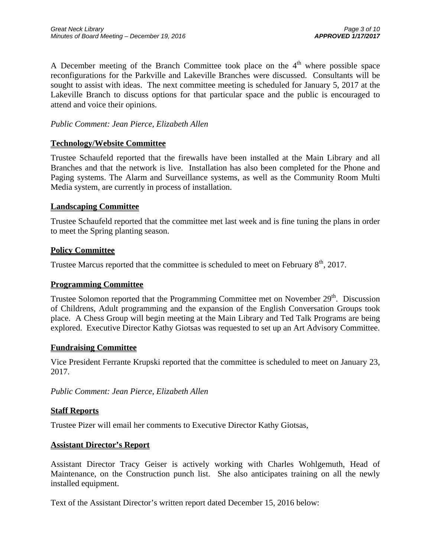A December meeting of the Branch Committee took place on the  $4<sup>th</sup>$  where possible space reconfigurations for the Parkville and Lakeville Branches were discussed. Consultants will be sought to assist with ideas. The next committee meeting is scheduled for January 5, 2017 at the Lakeville Branch to discuss options for that particular space and the public is encouraged to attend and voice their opinions.

### *Public Comment: Jean Pierce, Elizabeth Allen*

#### **Technology/Website Committee**

Trustee Schaufeld reported that the firewalls have been installed at the Main Library and all Branches and that the network is live. Installation has also been completed for the Phone and Paging systems. The Alarm and Surveillance systems, as well as the Community Room Multi Media system, are currently in process of installation.

#### **Landscaping Committee**

Trustee Schaufeld reported that the committee met last week and is fine tuning the plans in order to meet the Spring planting season.

#### **Policy Committee**

Trustee Marcus reported that the committee is scheduled to meet on February  $8<sup>th</sup>$ , 2017.

#### **Programming Committee**

Trustee Solomon reported that the Programming Committee met on November 29<sup>th</sup>. Discussion of Childrens, Adult programming and the expansion of the English Conversation Groups took place. A Chess Group will begin meeting at the Main Library and Ted Talk Programs are being explored. Executive Director Kathy Giotsas was requested to set up an Art Advisory Committee.

#### **Fundraising Committee**

Vice President Ferrante Krupski reported that the committee is scheduled to meet on January 23, 2017.

*Public Comment: Jean Pierce, Elizabeth Allen* 

#### **Staff Reports**

Trustee Pizer will email her comments to Executive Director Kathy Giotsas,

#### **Assistant Director's Report**

Assistant Director Tracy Geiser is actively working with Charles Wohlgemuth, Head of Maintenance, on the Construction punch list. She also anticipates training on all the newly installed equipment.

Text of the Assistant Director's written report dated December 15, 2016 below: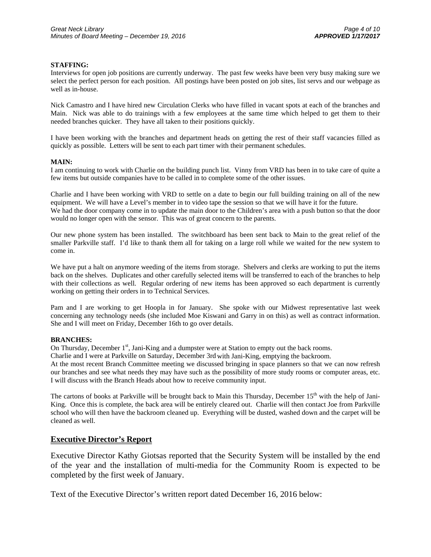#### **STAFFING:**

Interviews for open job positions are currently underway. The past few weeks have been very busy making sure we select the perfect person for each position. All postings have been posted on job sites, list servs and our webpage as well as in-house.

Nick Camastro and I have hired new Circulation Clerks who have filled in vacant spots at each of the branches and Main. Nick was able to do trainings with a few employees at the same time which helped to get them to their needed branches quicker. They have all taken to their positions quickly.

I have been working with the branches and department heads on getting the rest of their staff vacancies filled as quickly as possible. Letters will be sent to each part timer with their permanent schedules.

#### **MAIN:**

I am continuing to work with Charlie on the building punch list. Vinny from VRD has been in to take care of quite a few items but outside companies have to be called in to complete some of the other issues.

Charlie and I have been working with VRD to settle on a date to begin our full building training on all of the new equipment. We will have a Level's member in to video tape the session so that we will have it for the future. We had the door company come in to update the main door to the Children's area with a push button so that the door would no longer open with the sensor. This was of great concern to the parents.

Our new phone system has been installed. The switchboard has been sent back to Main to the great relief of the smaller Parkville staff. I'd like to thank them all for taking on a large roll while we waited for the new system to come in.

We have put a halt on anymore weeding of the items from storage. Shelvers and clerks are working to put the items back on the shelves. Duplicates and other carefully selected items will be transferred to each of the branches to help with their collections as well. Regular ordering of new items has been approved so each department is currently working on getting their orders in to Technical Services.

Pam and I are working to get Hoopla in for January. She spoke with our Midwest representative last week concerning any technology needs (she included Moe Kiswani and Garry in on this) as well as contract information. She and I will meet on Friday, December 16th to go over details.

#### **BRANCHES:**

On Thursday, December 1<sup>st</sup>, Jani-King and a dumpster were at Station to empty out the back rooms.

Charlie and I were at Parkville on Saturday, December 3rd with Jani-King, emptying the backroom.

At the most recent Branch Committee meeting we discussed bringing in space planners so that we can now refresh our branches and see what needs they may have such as the possibility of more study rooms or computer areas, etc. I will discuss with the Branch Heads about how to receive community input.

The cartons of books at Parkville will be brought back to Main this Thursday, December  $15<sup>th</sup>$  with the help of Jani-King. Once this is complete, the back area will be entirely cleared out. Charlie will then contact Joe from Parkville school who will then have the backroom cleaned up. Everything will be dusted, washed down and the carpet will be cleaned as well.

#### **Executive Director's Report**

Executive Director Kathy Giotsas reported that the Security System will be installed by the end of the year and the installation of multi-media for the Community Room is expected to be completed by the first week of January.

Text of the Executive Director's written report dated December 16, 2016 below: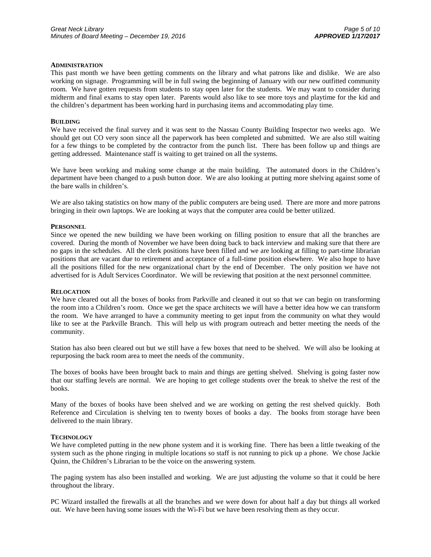#### **ADMINISTRATION**

This past month we have been getting comments on the library and what patrons like and dislike. We are also working on signage. Programming will be in full swing the beginning of January with our new outfitted community room. We have gotten requests from students to stay open later for the students. We may want to consider during midterm and final exams to stay open later. Parents would also like to see more toys and playtime for the kid and the children's department has been working hard in purchasing items and accommodating play time.

#### **BUILDING**

We have received the final survey and it was sent to the Nassau County Building Inspector two weeks ago. We should get out CO very soon since all the paperwork has been completed and submitted. We are also still waiting for a few things to be completed by the contractor from the punch list. There has been follow up and things are getting addressed. Maintenance staff is waiting to get trained on all the systems.

We have been working and making some change at the main building. The automated doors in the Children's department have been changed to a push button door. We are also looking at putting more shelving against some of the bare walls in children's.

We are also taking statistics on how many of the public computers are being used. There are more and more patrons bringing in their own laptops. We are looking at ways that the computer area could be better utilized.

#### **PERSONNEL**

Since we opened the new building we have been working on filling position to ensure that all the branches are covered. During the month of November we have been doing back to back interview and making sure that there are no gaps in the schedules. All the clerk positions have been filled and we are looking at filling to part-time librarian positions that are vacant due to retirement and acceptance of a full-time position elsewhere. We also hope to have all the positions filled for the new organizational chart by the end of December. The only position we have not advertised for is Adult Services Coordinator. We will be reviewing that position at the next personnel committee.

#### **RELOCATION**

We have cleared out all the boxes of books from Parkville and cleaned it out so that we can begin on transforming the room into a Children's room. Once we get the space architects we will have a better idea how we can transform the room. We have arranged to have a community meeting to get input from the community on what they would like to see at the Parkville Branch. This will help us with program outreach and better meeting the needs of the community.

Station has also been cleared out but we still have a few boxes that need to be shelved. We will also be looking at repurposing the back room area to meet the needs of the community.

The boxes of books have been brought back to main and things are getting shelved. Shelving is going faster now that our staffing levels are normal. We are hoping to get college students over the break to shelve the rest of the books.

Many of the boxes of books have been shelved and we are working on getting the rest shelved quickly. Both Reference and Circulation is shelving ten to twenty boxes of books a day. The books from storage have been delivered to the main library.

#### **TECHNOLOGY**

We have completed putting in the new phone system and it is working fine. There has been a little tweaking of the system such as the phone ringing in multiple locations so staff is not running to pick up a phone. We chose Jackie Quinn, the Children's Librarian to be the voice on the answering system.

The paging system has also been installed and working. We are just adjusting the volume so that it could be here throughout the library.

PC Wizard installed the firewalls at all the branches and we were down for about half a day but things all worked out. We have been having some issues with the Wi-Fi but we have been resolving them as they occur.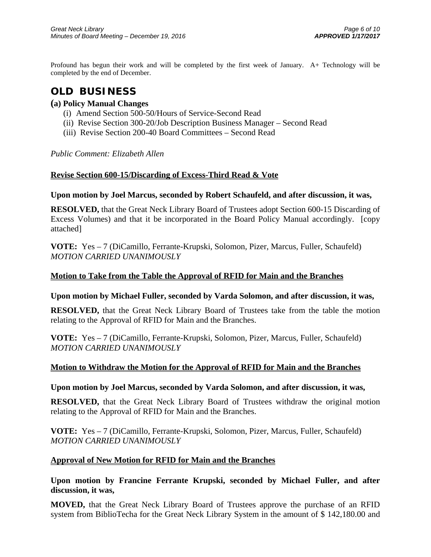Profound has begun their work and will be completed by the first week of January. A+ Technology will be completed by the end of December.

# **OLD BUSINESS**

### **(a) Policy Manual Changes**

- (i) Amend Section 500-50/Hours of Service-Second Read
- (ii) Revise Section 300-20/Job Description Business Manager Second Read
- (iii) Revise Section 200-40 Board Committees Second Read

*Public Comment: Elizabeth Allen* 

#### **Revise Section 600-15/Discarding of Excess-Third Read & Vote**

#### **Upon motion by Joel Marcus, seconded by Robert Schaufeld, and after discussion, it was,**

**RESOLVED,** that the Great Neck Library Board of Trustees adopt Section 600-15 Discarding of Excess Volumes) and that it be incorporated in the Board Policy Manual accordingly. [copy attached]

**VOTE:** Yes – 7 (DiCamillo, Ferrante-Krupski, Solomon, Pizer, Marcus, Fuller, Schaufeld) *MOTION CARRIED UNANIMOUSLY* 

### **Motion to Take from the Table the Approval of RFID for Main and the Branches**

#### **Upon motion by Michael Fuller, seconded by Varda Solomon, and after discussion, it was,**

**RESOLVED,** that the Great Neck Library Board of Trustees take from the table the motion relating to the Approval of RFID for Main and the Branches.

**VOTE:** Yes – 7 (DiCamillo, Ferrante-Krupski, Solomon, Pizer, Marcus, Fuller, Schaufeld) *MOTION CARRIED UNANIMOUSLY* 

#### **Motion to Withdraw the Motion for the Approval of RFID for Main and the Branches**

#### **Upon motion by Joel Marcus, seconded by Varda Solomon, and after discussion, it was,**

**RESOLVED,** that the Great Neck Library Board of Trustees withdraw the original motion relating to the Approval of RFID for Main and the Branches.

**VOTE:** Yes – 7 (DiCamillo, Ferrante-Krupski, Solomon, Pizer, Marcus, Fuller, Schaufeld) *MOTION CARRIED UNANIMOUSLY* 

#### **Approval of New Motion for RFID for Main and the Branches**

**Upon motion by Francine Ferrante Krupski, seconded by Michael Fuller, and after discussion, it was,** 

**MOVED,** that the Great Neck Library Board of Trustees approve the purchase of an RFID system from BiblioTecha for the Great Neck Library System in the amount of \$ 142,180.00 and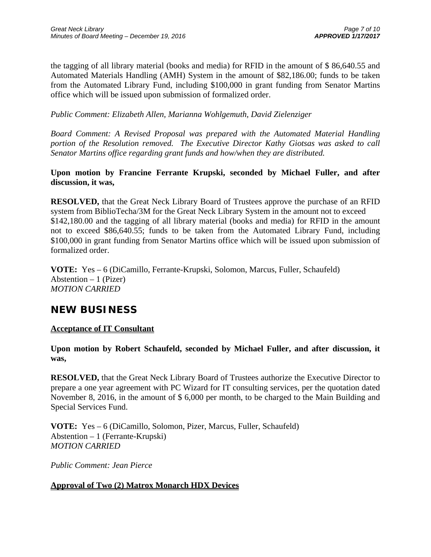the tagging of all library material (books and media) for RFID in the amount of \$ 86,640.55 and Automated Materials Handling (AMH) System in the amount of \$82,186.00; funds to be taken from the Automated Library Fund, including \$100,000 in grant funding from Senator Martins office which will be issued upon submission of formalized order.

*Public Comment: Elizabeth Allen, Marianna Wohlgemuth, David Zielenziger* 

*Board Comment: A Revised Proposal was prepared with the Automated Material Handling portion of the Resolution removed. The Executive Director Kathy Giotsas was asked to call Senator Martins office regarding grant funds and how/when they are distributed.* 

### **Upon motion by Francine Ferrante Krupski, seconded by Michael Fuller, and after discussion, it was,**

**RESOLVED,** that the Great Neck Library Board of Trustees approve the purchase of an RFID system from BiblioTecha/3M for the Great Neck Library System in the amount not to exceed \$142,180.00 and the tagging of all library material (books and media) for RFID in the amount not to exceed \$86,640.55; funds to be taken from the Automated Library Fund, including \$100,000 in grant funding from Senator Martins office which will be issued upon submission of formalized order.

**VOTE:** Yes – 6 (DiCamillo, Ferrante-Krupski, Solomon, Marcus, Fuller, Schaufeld) Abstention  $-1$  (Pizer) *MOTION CARRIED* 

## **NEW BUSINESS**

### **Acceptance of IT Consultant**

### **Upon motion by Robert Schaufeld, seconded by Michael Fuller, and after discussion, it was,**

**RESOLVED,** that the Great Neck Library Board of Trustees authorize the Executive Director to prepare a one year agreement with PC Wizard for IT consulting services, per the quotation dated November 8, 2016, in the amount of \$ 6,000 per month, to be charged to the Main Building and Special Services Fund.

**VOTE:** Yes – 6 (DiCamillo, Solomon, Pizer, Marcus, Fuller, Schaufeld) Abstention – 1 (Ferrante-Krupski) *MOTION CARRIED* 

*Public Comment: Jean Pierce* 

### **Approval of Two (2) Matrox Monarch HDX Devices**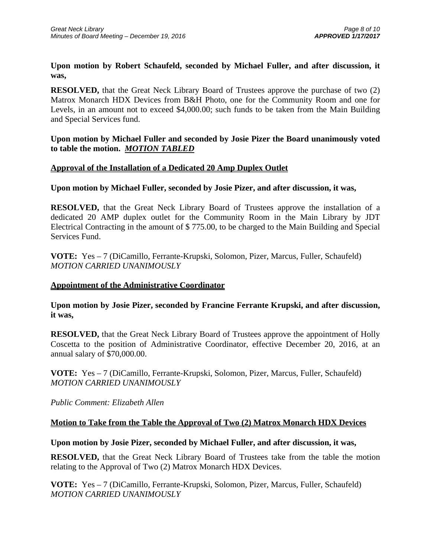### **Upon motion by Robert Schaufeld, seconded by Michael Fuller, and after discussion, it was,**

**RESOLVED,** that the Great Neck Library Board of Trustees approve the purchase of two (2) Matrox Monarch HDX Devices from B&H Photo, one for the Community Room and one for Levels, in an amount not to exceed \$4,000.00; such funds to be taken from the Main Building and Special Services fund.

### **Upon motion by Michael Fuller and seconded by Josie Pizer the Board unanimously voted to table the motion.** *MOTION TABLED*

### **Approval of the Installation of a Dedicated 20 Amp Duplex Outlet**

#### **Upon motion by Michael Fuller, seconded by Josie Pizer, and after discussion, it was,**

**RESOLVED,** that the Great Neck Library Board of Trustees approve the installation of a dedicated 20 AMP duplex outlet for the Community Room in the Main Library by JDT Electrical Contracting in the amount of \$ 775.00, to be charged to the Main Building and Special Services Fund.

**VOTE:** Yes – 7 (DiCamillo, Ferrante-Krupski, Solomon, Pizer, Marcus, Fuller, Schaufeld) *MOTION CARRIED UNANIMOUSLY* 

#### **Appointment of the Administrative Coordinator**

#### **Upon motion by Josie Pizer, seconded by Francine Ferrante Krupski, and after discussion, it was,**

**RESOLVED,** that the Great Neck Library Board of Trustees approve the appointment of Holly Coscetta to the position of Administrative Coordinator, effective December 20, 2016, at an annual salary of \$70,000.00.

**VOTE:** Yes – 7 (DiCamillo, Ferrante-Krupski, Solomon, Pizer, Marcus, Fuller, Schaufeld) *MOTION CARRIED UNANIMOUSLY* 

*Public Comment: Elizabeth Allen* 

### **Motion to Take from the Table the Approval of Two (2) Matrox Monarch HDX Devices**

#### **Upon motion by Josie Pizer, seconded by Michael Fuller, and after discussion, it was,**

**RESOLVED,** that the Great Neck Library Board of Trustees take from the table the motion relating to the Approval of Two (2) Matrox Monarch HDX Devices.

**VOTE:** Yes – 7 (DiCamillo, Ferrante-Krupski, Solomon, Pizer, Marcus, Fuller, Schaufeld) *MOTION CARRIED UNANIMOUSLY*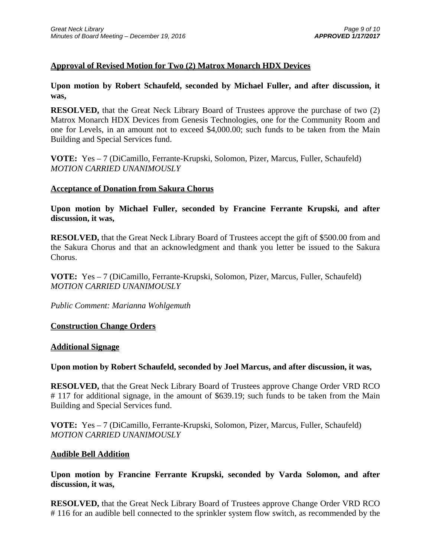### **Approval of Revised Motion for Two (2) Matrox Monarch HDX Devices**

**Upon motion by Robert Schaufeld, seconded by Michael Fuller, and after discussion, it was,** 

**RESOLVED,** that the Great Neck Library Board of Trustees approve the purchase of two (2) Matrox Monarch HDX Devices from Genesis Technologies, one for the Community Room and one for Levels, in an amount not to exceed \$4,000.00; such funds to be taken from the Main Building and Special Services fund.

**VOTE:** Yes – 7 (DiCamillo, Ferrante-Krupski, Solomon, Pizer, Marcus, Fuller, Schaufeld) *MOTION CARRIED UNANIMOUSLY* 

#### **Acceptance of Donation from Sakura Chorus**

**Upon motion by Michael Fuller, seconded by Francine Ferrante Krupski, and after discussion, it was,** 

**RESOLVED,** that the Great Neck Library Board of Trustees accept the gift of \$500.00 from and the Sakura Chorus and that an acknowledgment and thank you letter be issued to the Sakura Chorus.

**VOTE:** Yes – 7 (DiCamillo, Ferrante-Krupski, Solomon, Pizer, Marcus, Fuller, Schaufeld) *MOTION CARRIED UNANIMOUSLY* 

*Public Comment: Marianna Wohlgemuth* 

#### **Construction Change Orders**

#### **Additional Signage**

#### **Upon motion by Robert Schaufeld, seconded by Joel Marcus, and after discussion, it was,**

**RESOLVED,** that the Great Neck Library Board of Trustees approve Change Order VRD RCO # 117 for additional signage, in the amount of \$639.19; such funds to be taken from the Main Building and Special Services fund.

**VOTE:** Yes – 7 (DiCamillo, Ferrante-Krupski, Solomon, Pizer, Marcus, Fuller, Schaufeld) *MOTION CARRIED UNANIMOUSLY* 

#### **Audible Bell Addition**

**Upon motion by Francine Ferrante Krupski, seconded by Varda Solomon, and after discussion, it was,** 

**RESOLVED,** that the Great Neck Library Board of Trustees approve Change Order VRD RCO # 116 for an audible bell connected to the sprinkler system flow switch, as recommended by the